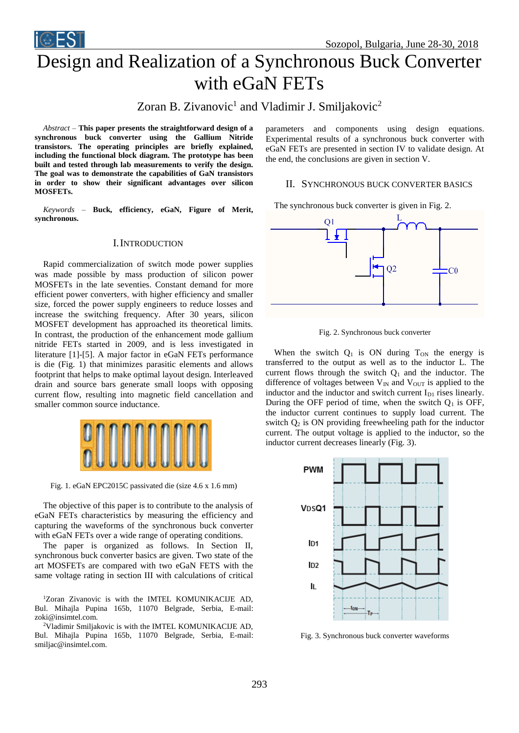



# Design and Realization of a Synchronous Buck Converter with eGaN FETs

Zoran B. Zivanovic<sup>1</sup> and Vladimir J. Smiljakovic<sup>2</sup>

*Abstract –* **This paper presents the straightforward design of a synchronous buck converter using the Gallium Nitride transistors. The operating principles are briefly explained, including the functional block diagram. The prototype has been built and tested through lab measurements to verify the design. The goal was to demonstrate the capabilities of GaN transistors in order to show their significant advantages over silicon MOSFETs.** 

*Keywords –* **Buck, efficiency, eGaN, Figure of Merit, synchronous.**

## I.INTRODUCTION

Rapid commercialization of switch mode power supplies was made possible by mass production of silicon power MOSFETs in the late seventies. Constant demand for more efficient power converters, with higher efficiency and smaller size, forced the power supply engineers to reduce losses and increase the switching frequency. After 30 years, silicon MOSFET development has approached its theoretical limits. In contrast, the production of the enhancement mode gallium nitride FETs started in 2009, and is less investigated in literature [1]-[5]. A major factor in eGaN FETs performance is die (Fig. 1) that minimizes parasitic elements and allows footprint that helps to make optimal layout design. Interleaved drain and source bars generate small loops with opposing current flow, resulting into magnetic field cancellation and smaller common source inductance.



Fig. 1. eGaN EPC2015C passivated die (size 4.6 x 1.6 mm)

The objective of this paper is to contribute to the analysis of eGaN FETs characteristics by measuring the efficiency and capturing the waveforms of the synchronous buck converter with eGaN FETs over a wide range of operating conditions.

The paper is organized as follows. In Section II, synchronous buck converter basics are given. Two state of the art MOSFETs are compared with two eGaN FETS with the same voltage rating in section III with calculations of critical

<sup>1</sup>Zoran Zivanovic is with the IMTEL KOMUNIKACIJE AD, Bul. Mihajla Pupina 165b, 11070 Belgrade, Serbia, E-mail: zoki@insimtel.com.

<sup>2</sup>Vladimir Smiljakovic is with the IMTEL KOMUNIKACIJE AD, Bul. Mihajla Pupina 165b, 11070 Belgrade, Serbia, E-mail: smiljac@insimtel.com.

parameters and components using design equations. Experimental results of a synchronous buck converter with eGaN FETs are presented in section IV to validate design. At the end, the conclusions are given in section V.

#### II. SYNCHRONOUS BUCK CONVERTER BASICS

The synchronous buck converter is given in Fig. 2.



Fig. 2. Synchronous buck converter

When the switch  $Q_1$  is ON during  $T_{ON}$  the energy is transferred to the output as well as to the inductor L. The current flows through the switch  $Q_1$  and the inductor. The difference of voltages between  $V_{IN}$  and  $V_{OUT}$  is applied to the inductor and the inductor and switch current  $I_{D1}$  rises linearly. During the OFF period of time, when the switch  $Q_1$  is OFF, the inductor current continues to supply load current. The switch  $Q_2$  is ON providing freewheeling path for the inductor current. The output voltage is applied to the inductor, so the inductor current decreases linearly (Fig. 3).



Fig. 3. Synchronous buck converter waveforms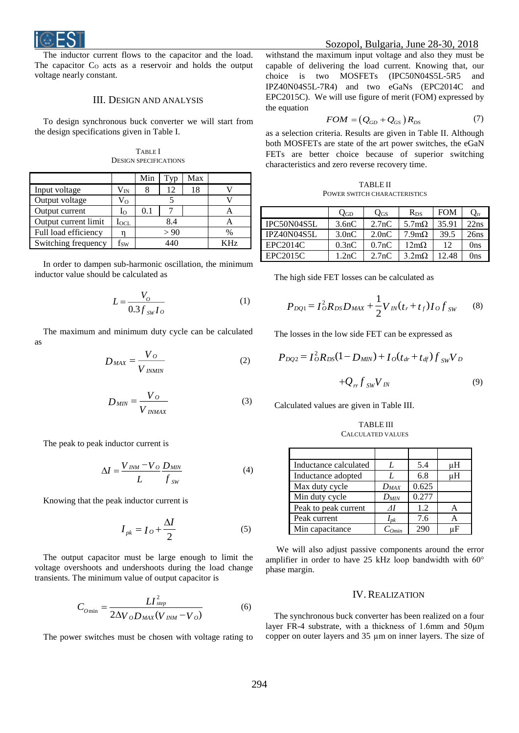

The inductor current flows to the capacitor and the load. The capacitor  $C_0$  acts as a reservoir and holds the output voltage nearly constant.

#### III. DESIGN AND ANALYSIS

To design synchronous buck converter we will start from the design specifications given in Table I.

TABLE I DESIGN SPECIFICATIONS

|                      |                | Min  | T <sub>VD</sub> | Max |               |
|----------------------|----------------|------|-----------------|-----|---------------|
| Input voltage        | $\rm V_{IN}$   |      | 12              | 18  |               |
| Output voltage       | Vo             |      |                 |     |               |
| Output current       | I <sub>O</sub> | 0.1  |                 |     |               |
| Output current limit | $I_{\rm OCL}$  | 8.4  |                 |     |               |
| Full load efficiency |                | > 90 |                 |     | $\frac{0}{0}$ |
| Switching frequency  | $\rm f_{SW}$   | 440  |                 | 7H7 |               |

In order to dampen sub-harmonic oscillation, the minimum inductor value should be calculated as

$$
L = \frac{V_O}{0.3 f_{sw} I_O} \tag{1}
$$

The maximum and minimum duty cycle can be calculated as

$$
D_{MAX} = \frac{V_O}{V_{INMIN}} \tag{2}
$$

$$
D_{MIN} = \frac{V_O}{V_{INMAX}} \tag{3}
$$

The peak to peak inductor current is

$$
\Delta I = \frac{V_{INM} - V_O}{L} \frac{D_{MIN}}{f_{SW}}
$$
(4)

Knowing that the peak inductor current is

$$
I_{pk} = I_O + \frac{\Delta I}{2} \tag{5}
$$

The output capacitor must be large enough to limit the voltage overshoots and undershoots during the load change transients. The minimum value of output capacitor is

$$
C_{O\min} = \frac{LI_{step}^2}{2\Delta V_o D_{MAX}(V_{INM} - V_o)}
$$
(6)

The power switches must be chosen with voltage rating to

withstand the maximum input voltage and also they must be capable of delivering the load current. Knowing that, our choice is two MOSFETs (IPC50N04S5L-5R5 and IPZ40N04S5L-7R4) and two eGaNs (EPC2014C and EPC2015C). We will use figure of merit (FOM) expressed by the equation

$$
FOM = (Q_{GD} + Q_{GS})R_{DS} \tag{7}
$$

as a selection criteria. Results are given in Table II. Although both MOSFETs are state of the art power switches, the eGaN FETs are better choice because of superior switching characteristics and zero reverse recovery time.

TABLE II POWER SWITCH CHARACTERISTICS

|                    | $Q_{GD}$           | $Q_{GS}$ | $R_{DS}$             | <b>FOM</b> | $Q_{rr}$ |
|--------------------|--------------------|----------|----------------------|------------|----------|
| IPC50N04S5L        | 3.6nC              | 2.7nC    | 5.7 $m\Omega$        | 35.91      | 22ns     |
| <b>IPZ40N04S5L</b> | 3.0 <sub>n</sub> C | 2.0nC    | $7.9m\Omega$         | 39.5       | 26ns     |
| EPC2014C           | 0.3nC              | 0.7nC    | $12m\Omega$          | 12         | 0ns      |
| EPC2015C           | 1.2nC              | 2.7nC    | $3.2 \text{m}\Omega$ | 12.48      | 0ns      |

The high side FET losses can be calculated as

$$
P_{DQ1} = I_O^2 R_{DS} D_{MAX} + \frac{1}{2} V_{IN}(t_r + t_f) I_O f_{SW}
$$
 (8)

The losses in the low side FET can be expressed as

$$
P_{DQ2} = I_{O}^{2} R_{DS} (1 - D_{MIN}) + I_{O}(t_{dr} + t_{df}) f_{SW} V_{D}
$$

$$
+ Q_{rf} f_{SW} V_{IN}
$$
(9)

Calculated values are given in Table III.

TABLE III CALCULATED VALUES

| Inductance calculated |           | 5.4   | uН |
|-----------------------|-----------|-------|----|
| Inductance adopted    | L         | 6.8   | uН |
| Max duty cycle        | $D_{MAX}$ | 0.625 |    |
| Min duty cycle        | $D_{MIN}$ | 0.277 |    |
| Peak to peak current  | ΛI        | 1.2   |    |
| Peak current          | $I_{pk}$  | 7.6   |    |
| Min capacitance       |           | 290   | пH |

We will also adjust passive components around the error amplifier in order to have 25 kHz loop bandwidth with 60° phase margin.

### IV. REALIZATION

The synchronous buck converter has been realized on a four layer FR-4 substrate, with a thickness of 1.6mm and 50µm copper on outer layers and 35 µm on inner layers. The size of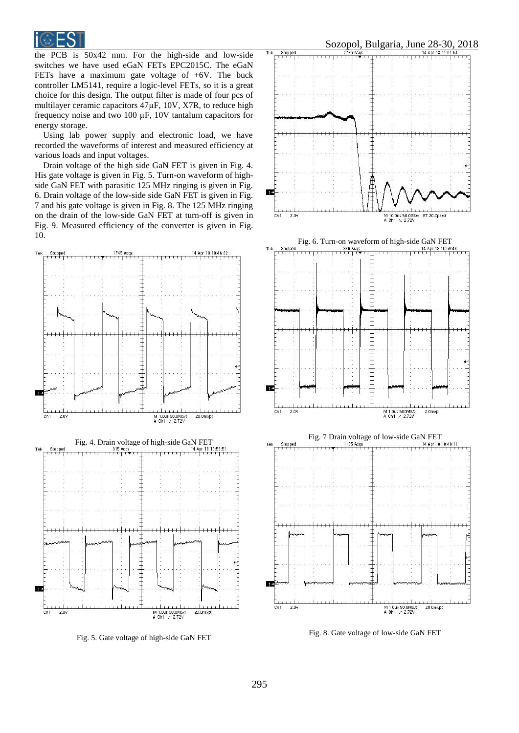

the PCB is 50x42 mm. For the high-side and low-side switches we have used eGaN FETs EPC2015C. The eGaN FETs have a maximum gate voltage of +6V. The buck controller LM5141, require a logic-level FETs, so it is a great choice for this design. The output filter is made of four pcs of multilayer ceramic capacitors 47µF, 10V, X7R, to reduce high frequency noise and two 100 µF, 10V tantalum capacitors for energy storage.

Using lab power supply and electronic load, we have recorded the waveforms of interest and measured efficiency at various loads and input voltages.

Drain voltage of the high side GaN FET is given in Fig. 4. His gate voltage is given in Fig. 5. Turn-on waveform of highside GaN FET with parasitic 125 MHz ringing is given in Fig. 6. Drain voltage of the low-side side GaN FET is given in Fig. 7 and his gate voltage is given in Fig. 8. The 125 MHz ringing on the drain of the low-side GaN FET at turn-off is given in Fig. 9. Measured efficiency of the converter is given in Fig. 10.



Fig. 5. Gate voltage of high-side GaN FET

M 1.0us 50.0MS/s<br>A Ch1 / 2.72Y

 $Ch1$ 2.0V malan

20.0ns/of



Fig. 8. Gate voltage of low-side GaN FET